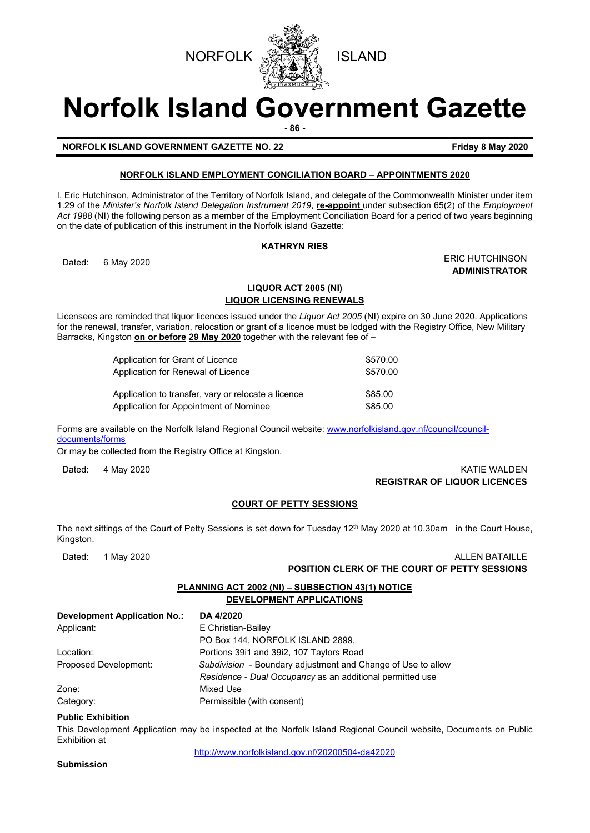



# **Norfolk Island Government Gazette**

**- 86 -**

**NORFOLK ISLAND GOVERNMENT GAZETTE NO. 22 Friday 8 May 2020** 

#### **NORFOLK ISLAND EMPLOYMENT CONCILIATION BOARD – APPOINTMENTS 2020**

I, Eric Hutchinson, Administrator of the Territory of Norfolk Island, and delegate of the Commonwealth Minister under item 1.29 of the *Minister's Norfolk Island Delegation Instrument 2019*, **re-appoint** under subsection 65(2) of the *Employment Act 1988* (NI) the following person as a member of the Employment Conciliation Board for a period of two years beginning on the date of publication of this instrument in the Norfolk island Gazette:

#### **KATHRYN RIES**

Dated: 6 May 2020 **ERIC HUTCHINSON ADMINISTRATOR**

#### **LIQUOR ACT 2005 (NI) LIQUOR LICENSING RENEWALS**

Licensees are reminded that liquor licences issued under the *Liquor Act 2005* (NI) expire on 30 June 2020. Applications for the renewal, transfer, variation, relocation or grant of a licence must be lodged with the Registry Office, New Military Barracks, Kingston **on or before 29 May 2020** together with the relevant fee of –

| Application for Grant of Licence                    | \$570.00 |
|-----------------------------------------------------|----------|
| Application for Renewal of Licence                  | \$570.00 |
| Application to transfer, vary or relocate a licence | \$85.00  |
| Application for Appointment of Nominee              | \$85.00  |

Forms are available on the Norfolk Island Regional Council website: [www.norfolkisland.gov.nf/council/council](http://www.norfolkisland.gov.nf/council/council-documents/forms)[documents/forms](http://www.norfolkisland.gov.nf/council/council-documents/forms)

Or may be collected from the Registry Office at Kingston.

#### Dated: 4 May 2020 KATIE WALDEN **REGISTRAR OF LIQUOR LICENCES**

#### **COURT OF PETTY SESSIONS**

The next sittings of the Court of Petty Sessions is set down for Tuesday  $12<sup>th</sup>$  May 2020 at 10.30am in the Court House, Kingston.

| 1 May 2020<br>Dated:                                                         | <b>ALLEN BATAILLE</b>                                        |  |
|------------------------------------------------------------------------------|--------------------------------------------------------------|--|
|                                                                              | <b>POSITION CLERK OF THE COURT OF PETTY SESSIONS</b>         |  |
| PLANNING ACT 2002 (NI) - SUBSECTION 43(1) NOTICE<br>DEVELOPMENT APPLICATIONS |                                                              |  |
| <b>Development Application No.:</b>                                          | DA 4/2020                                                    |  |
| Applicant:                                                                   | E Christian-Bailey                                           |  |
|                                                                              | PO Box 144. NORFOLK ISLAND 2899.                             |  |
| Location:                                                                    | Portions 3911 and 3912, 107 Taylors Road                     |  |
| Proposed Development:                                                        | Subdivision - Boundary adjustment and Change of Use to allow |  |
|                                                                              | Residence - Dual Occupancy as an additional permitted use    |  |
| Zone:                                                                        | Mixed Use                                                    |  |
| Category:                                                                    | Permissible (with consent)                                   |  |
| <b>Public Exhibition</b>                                                     |                                                              |  |

#### **Public Exhibition**

This Development Application may be inspected at the Norfolk Island Regional Council website, Documents on Public Exhibition at

<http://www.norfolkisland.gov.nf/20200504-da42020>

**Submission**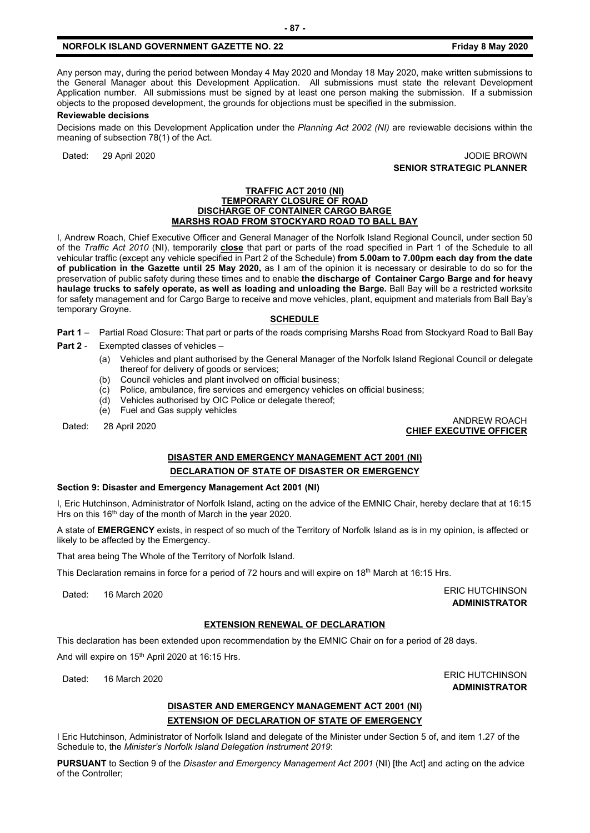#### **NORFOLK ISLAND GOVERNMENT GAZETTE NO. 22 Friday 8 May 2020**

Any person may, during the period between Monday 4 May 2020 and Monday 18 May 2020, make written submissions to the General Manager about this Development Application. All submissions must state the relevant Development Application number. All submissions must be signed by at least one person making the submission. If a submission objects to the proposed development, the grounds for objections must be specified in the submission.

#### **Reviewable decisions**

Decisions made on this Development Application under the *Planning Act 2002 (NI)* are reviewable decisions within the meaning of subsection 78(1) of the Act.

Dated: 29 April 2020 **Dated: 29 April 2020 SENIOR STRATEGIC PLANNER** 

#### **TRAFFIC ACT 2010 (NI) TEMPORARY CLOSURE OF ROAD DISCHARGE OF CONTAINER CARGO BARGE MARSHS ROAD FROM STOCKYARD ROAD TO BAL**

I, Andrew Roach, Chief Executive Officer and General Manager of the Norfolk Island Regional Council, under section 50 of the *Traffic Act 2010* (NI), temporarily **close** that part or parts of the road specified in Part 1 of the Schedule to all vehicular traffic (except any vehicle specified in Part 2 of the Schedule) **from 5.00am to 7.00pm each day from the date of publication in the Gazette until 25 May 2020,** as I am of the opinion it is necessary or desirable to do so for the preservation of public safety during these times and to enable **the discharge of Container Cargo Barge and for heavy haulage trucks to safely operate, as well as loading and unloading the Barge.** Ball Bay will be a restricted worksite for safety management and for Cargo Barge to receive and move vehicles, plant, equipment and materials from Ball Bay's temporary Groyne.

#### **SCHEDULE**

**Part 1** – Partial Road Closure: That part or parts of the roads comprising Marshs Road from Stockyard Road to Ball Bay

- **Part 2** Exempted classes of vehicles
	- (a) Vehicles and plant authorised by the General Manager of the Norfolk Island Regional Council or delegate thereof for delivery of goods or services;
	- (b) Council vehicles and plant involved on official business;
	- (c) Police, ambulance, fire services and emergency vehicles on official business;
	- (d) Vehicles authorised by OIC Police or delegate thereof;
	- (e) Fuel and Gas supply vehicles

## Dated: 28 April 2020 ANDREW ROACH **CHIEF EXECUTIVE OFFICER**

#### **DISASTER AND EMERGENCY MANAGEMENT ACT 2001 (NI) DECLARATION OF STATE OF DISASTER OR EMERGENCY**

#### **Section 9: Disaster and Emergency Management Act 2001 (NI)**

I, Eric Hutchinson, Administrator of Norfolk Island, acting on the advice of the EMNIC Chair, hereby declare that at 16:15 Hrs on this 16<sup>th</sup> day of the month of March in the year 2020.

A state of **EMERGENCY** exists, in respect of so much of the Territory of Norfolk Island as is in my opinion, is affected or likely to be affected by the Emergency.

That area being The Whole of the Territory of Norfolk Island.

This Declaration remains in force for a period of 72 hours and will expire on 18<sup>th</sup> March at 16:15 Hrs.

Dated: 16 March 2020 **ERIC HUTCHINSON** 

**ADMINISTRATOR**

#### **EXTENSION RENEWAL OF DECLARATION**

This declaration has been extended upon recommendation by the EMNIC Chair on for a period of 28 days. And will expire on 15<sup>th</sup> April 2020 at 16:15 Hrs.

Dated: 16 March 2020 **ERIC HUTCHINSON ADMINISTRATOR**

### **DISASTER AND EMERGENCY MANAGEMENT ACT 2001 (NI) EXTENSION OF DECLARATION OF STATE OF EMERGENCY**

I Eric Hutchinson, Administrator of Norfolk Island and delegate of the Minister under Section 5 of, and item 1.27 of the Schedule to, the *Minister's Norfolk Island Delegation Instrument 2019*:

**PURSUANT** to Section 9 of the *Disaster and Emergency Management Act 2001* (NI) [the Act] and acting on the advice of the Controller;